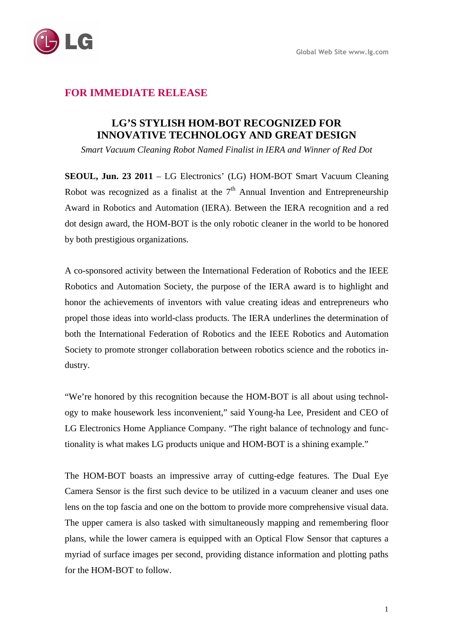

## **FOR IMMEDIATE RELEASE**

## **LG'S STYLISH HOM-BOT RECOGNIZED FOR INNOVATIVE TECHNOLOGY AND GREAT DESIGN**

*Smart Vacuum Cleaning Robot Named Finalist in IERA and Winner of Red Dot* 

**SEOUL, Jun. 23 2011** – LG Electronics' (LG) HOM-BOT Smart Vacuum Cleaning Robot was recognized as a finalist at the  $7<sup>th</sup>$  Annual Invention and Entrepreneurship Award in Robotics and Automation (IERA). Between the IERA recognition and a red dot design award, the HOM-BOT is the only robotic cleaner in the world to be honored by both prestigious organizations.

A co-sponsored activity between the International Federation of Robotics and the IEEE Robotics and Automation Society, the purpose of the IERA award is to highlight and honor the achievements of inventors with value creating ideas and entrepreneurs who propel those ideas into world-class products. The IERA underlines the determination of both the International Federation of Robotics and the IEEE Robotics and Automation Society to promote stronger collaboration between robotics science and the robotics industry.

"We're honored by this recognition because the HOM-BOT is all about using technology to make housework less inconvenient," said Young-ha Lee, President and CEO of LG Electronics Home Appliance Company. "The right balance of technology and functionality is what makes LG products unique and HOM-BOT is a shining example."

The HOM-BOT boasts an impressive array of cutting-edge features. The Dual Eye Camera Sensor is the first such device to be utilized in a vacuum cleaner and uses one lens on the top fascia and one on the bottom to provide more comprehensive visual data. The upper camera is also tasked with simultaneously mapping and remembering floor plans, while the lower camera is equipped with an Optical Flow Sensor that captures a myriad of surface images per second, providing distance information and plotting paths for the HOM-BOT to follow.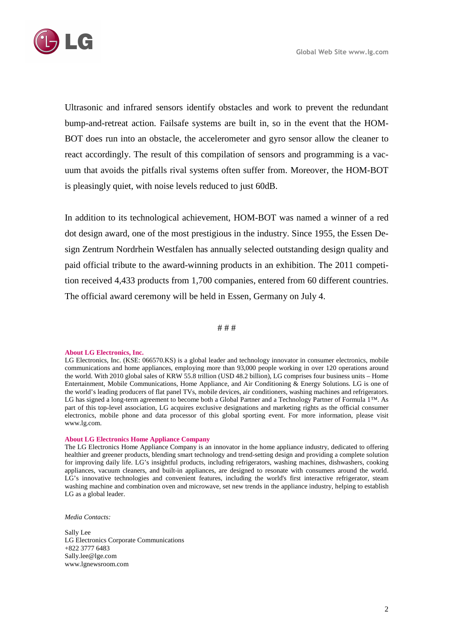

Ultrasonic and infrared sensors identify obstacles and work to prevent the redundant bump-and-retreat action. Failsafe systems are built in, so in the event that the HOM-BOT does run into an obstacle, the accelerometer and gyro sensor allow the cleaner to react accordingly. The result of this compilation of sensors and programming is a vacuum that avoids the pitfalls rival systems often suffer from. Moreover, the HOM-BOT is pleasingly quiet, with noise levels reduced to just 60dB.

In addition to its technological achievement, HOM-BOT was named a winner of a red dot design award, one of the most prestigious in the industry. Since 1955, the Essen Design Zentrum Nordrhein Westfalen has annually selected outstanding design quality and paid official tribute to the award-winning products in an exhibition. The 2011 competition received 4,433 products from 1,700 companies, entered from 60 different countries. The official award ceremony will be held in Essen, Germany on July 4.

# # #

## **About LG Electronics, Inc.**

LG Electronics, Inc. (KSE: 066570.KS) is a global leader and technology innovator in consumer electronics, mobile communications and home appliances, employing more than 93,000 people working in over 120 operations around the world. With 2010 global sales of KRW 55.8 trillion (USD 48.2 billion), LG comprises four business units – Home Entertainment, Mobile Communications, Home Appliance, and Air Conditioning & Energy Solutions. LG is one of the world's leading producers of flat panel TVs, mobile devices, air conditioners, washing machines and refrigerators. LG has signed a long-term agreement to become both a Global Partner and a Technology Partner of Formula 1™. As part of this top-level association, LG acquires exclusive designations and marketing rights as the official consumer electronics, mobile phone and data processor of this global sporting event. For more information, please visit www.lg.com.

## **About LG Electronics Home Appliance Company**

The LG Electronics Home Appliance Company is an innovator in the home appliance industry, dedicated to offering healthier and greener products, blending smart technology and trend-setting design and providing a complete solution for improving daily life. LG's insightful products, including refrigerators, washing machines, dishwashers, cooking appliances, vacuum cleaners, and built-in appliances, are designed to resonate with consumers around the world. LG's innovative technologies and convenient features, including the world's first interactive refrigerator, steam washing machine and combination oven and microwave, set new trends in the appliance industry, helping to establish LG as a global leader.

*Media Contacts:* 

Sally Lee LG Electronics Corporate Communications +822 3777 6483 Sally.lee@lge.com www.lgnewsroom.com